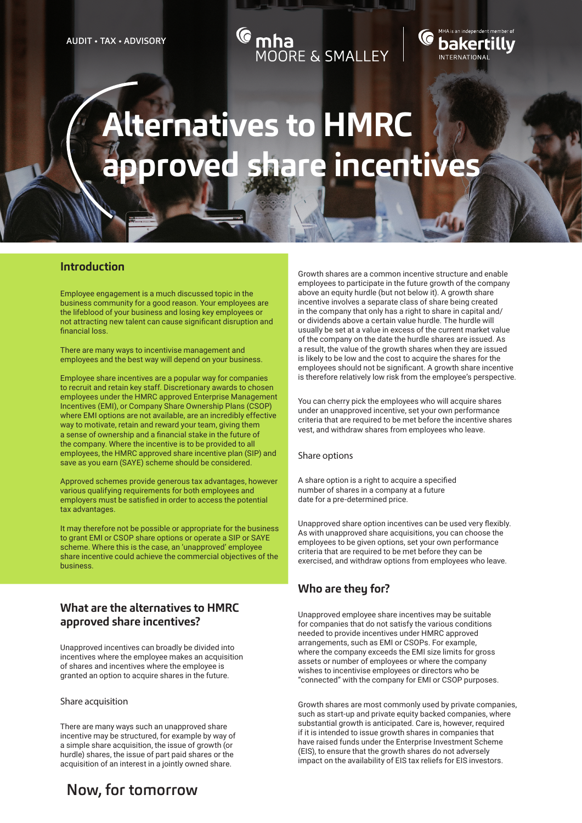## MOORE & SMALLEY

# bakertillv

# **Alternatives to HMRC approved share incentives**

#### **Introduction**

Employee engagement is a much discussed topic in the business community for a good reason. Your employees are the lifeblood of your business and losing key employees or not attracting new talent can cause significant disruption and financial loss.

There are many ways to incentivise management and employees and the best way will depend on your business.

Employee share incentives are a popular way for companies to recruit and retain key staff. Discretionary awards to chosen employees under the HMRC approved Enterprise Management Incentives (EMI), or Company Share Ownership Plans (CSOP) where EMI options are not available, are an incredibly effective way to motivate, retain and reward your team, giving them a sense of ownership and a financial stake in the future of the company. Where the incentive is to be provided to all employees, the HMRC approved share incentive plan (SIP) and save as you earn (SAYE) scheme should be considered.

Approved schemes provide generous tax advantages, however various qualifying requirements for both employees and employers must be satisfied in order to access the potential tax advantages.

It may therefore not be possible or appropriate for the business to grant EMI or CSOP share options or operate a SIP or SAYE scheme. Where this is the case, an 'unapproved' employee share incentive could achieve the commercial objectives of the business.

## **What are the alternatives to HMRC approved share incentives?**

Unapproved incentives can broadly be divided into incentives where the employee makes an acquisition of shares and incentives where the employee is granted an option to acquire shares in the future.

#### Share acquisition

There are many ways such an unapproved share incentive may be structured, for example by way of a simple share acquisition, the issue of growth (or hurdle) shares, the issue of part paid shares or the acquisition of an interest in a jointly owned share.

Now, for tomorrow

Growth shares are a common incentive structure and enable employees to participate in the future growth of the company above an equity hurdle (but not below it). A growth share incentive involves a separate class of share being created in the company that only has a right to share in capital and/ or dividends above a certain value hurdle. The hurdle will usually be set at a value in excess of the current market value of the company on the date the hurdle shares are issued. As a result, the value of the growth shares when they are issued is likely to be low and the cost to acquire the shares for the employees should not be significant. A growth share incentive is therefore relatively low risk from the employee's perspective.

You can cherry pick the employees who will acquire shares under an unapproved incentive, set your own performance criteria that are required to be met before the incentive shares vest, and withdraw shares from employees who leave.

#### Share options

A share option is a right to acquire a specified number of shares in a company at a future date for a pre-determined price.

Unapproved share option incentives can be used very flexibly. As with unapproved share acquisitions, you can choose the employees to be given options, set your own performance criteria that are required to be met before they can be exercised, and withdraw options from employees who leave.

#### **Who are they for?**

Unapproved employee share incentives may be suitable for companies that do not satisfy the various conditions needed to provide incentives under HMRC approved arrangements, such as EMI or CSOPs. For example, where the company exceeds the EMI size limits for gross assets or number of employees or where the company wishes to incentivise employees or directors who be "connected" with the company for EMI or CSOP purposes.

Growth shares are most commonly used by private companies, such as start-up and private equity backed companies, where substantial growth is anticipated. Care is, however, required if it is intended to issue growth shares in companies that have raised funds under the Enterprise Investment Scheme (EIS), to ensure that the growth shares do not adversely impact on the availability of EIS tax reliefs for EIS investors.